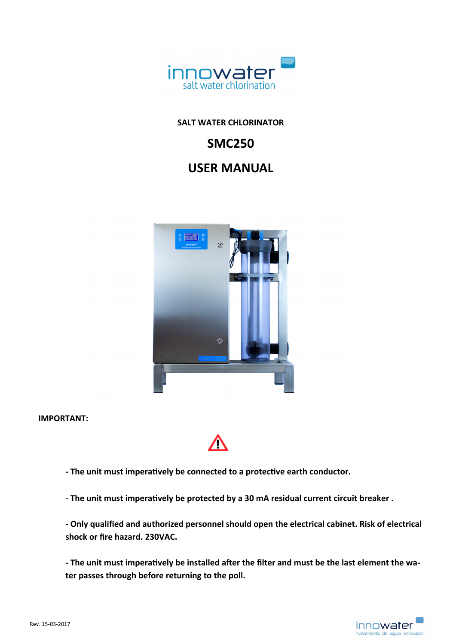

# **SALT WATER CHLORINATOR**

# **SMC250**

# **USER MANUAL**



**IMPORTANT:** 



**‐ The unit must imperaƟvely be connected to a protecƟve earth conductor.** 

**‐ The unit must imperaƟvely be protected by a 30 mA residual current circuit breaker .** 

**‐ Only qualified and authorized personnel should open the electrical cabinet. Risk of electrical shock or fire hazard. 230VAC.** 

- The unit must imperatively be installed after the filter and must be the last element the wa**ter passes through before returning to the poll.** 

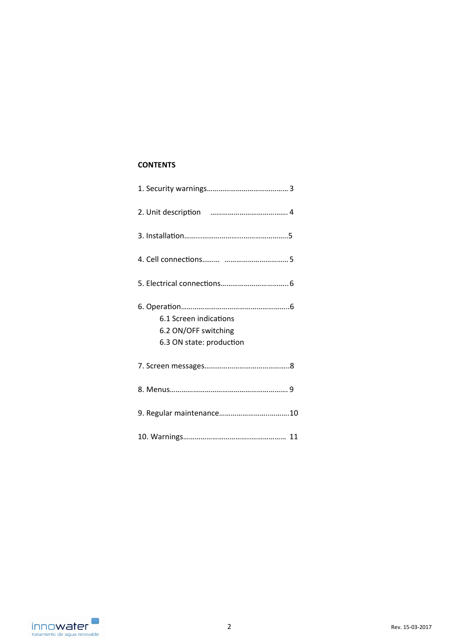# **CONTENTS**

| 6.1 Screen indications<br>6.2 ON/OFF switching<br>6.3 ON state: production |
|----------------------------------------------------------------------------|
|                                                                            |
|                                                                            |
|                                                                            |
|                                                                            |

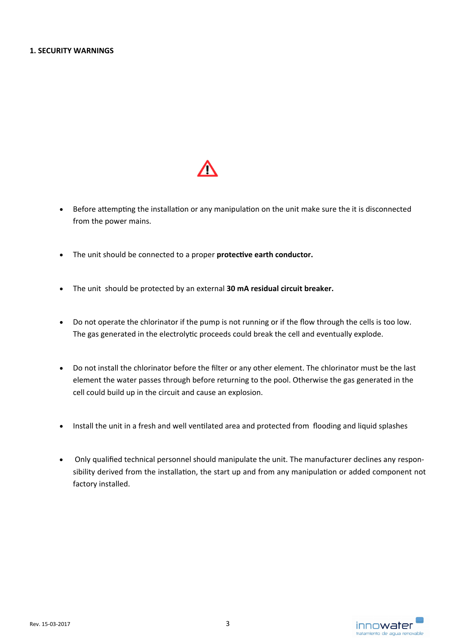

- Before attempting the installation or any manipulation on the unit make sure the it is disconnected from the power mains.
- The unit should be connected to a proper **protective earth conductor.**
- The unit should be protected by an external **30 mA residual circuit breaker.**
- Do not operate the chlorinator if the pump is not running or if the flow through the cells is too low. The gas generated in the electrolytic proceeds could break the cell and eventually explode.
- Do not install the chlorinator before the filter or any other element. The chlorinator must be the last element the water passes through before returning to the pool. Otherwise the gas generated in the cell could build up in the circuit and cause an explosion.
- Install the unit in a fresh and well ventilated area and protected from flooding and liquid splashes
- Only qualified technical personnel should manipulate the unit. The manufacturer declines any respon‐ sibility derived from the installation, the start up and from any manipulation or added component not factory installed.

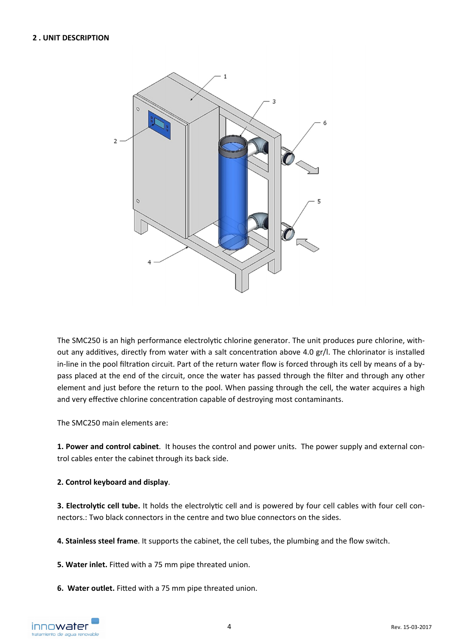

The SMC250 is an high performance electrolytic chlorine generator. The unit produces pure chlorine, without any additives, directly from water with a salt concentration above 4.0 gr/l. The chlorinator is installed in-line in the pool filtration circuit. Part of the return water flow is forced through its cell by means of a bypass placed at the end of the circuit, once the water has passed through the filter and through any other element and just before the return to the pool. When passing through the cell, the water acquires a high and very effective chlorine concentration capable of destroying most contaminants.

The SMC250 main elements are:

**1. Power and control cabinet**. It houses the control and power units. The power supply and external con‐ trol cables enter the cabinet through its back side.

**2. Control keyboard and display**.

**3. Electrolytic cell tube.** It holds the electrolytic cell and is powered by four cell cables with four cell connectors.: Two black connectors in the centre and two blue connectors on the sides.

**4. Stainless steel frame**. It supports the cabinet, the cell tubes, the plumbing and the flow switch.

**5. Water inlet.** Fitted with a 75 mm pipe threated union.

**6. Water outlet.** Fitted with a 75 mm pipe threated union.

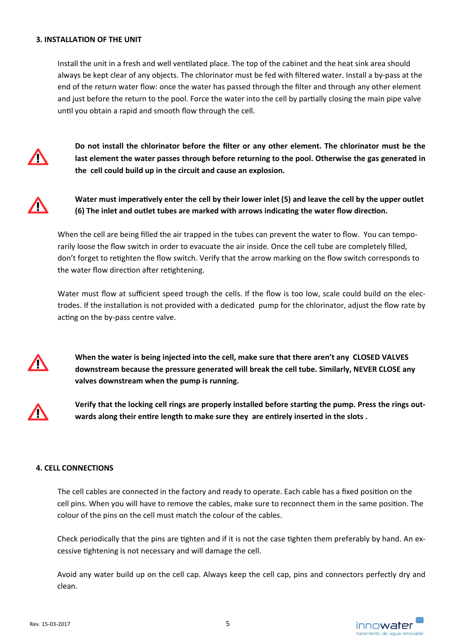#### **3. INSTALLATION OF THE UNIT**

Install the unit in a fresh and well ventilated place. The top of the cabinet and the heat sink area should always be kept clear of any objects. The chlorinator must be fed with filtered water. Install a by‐pass at the end of the return water flow: once the water has passed through the filter and through any other element and just before the return to the pool. Force the water into the cell by partially closing the main pipe valve until you obtain a rapid and smooth flow through the cell.



**Do not install the chlorinator before the filter or any other element. The chlorinator must be the last element the water passes through before returning to the pool. Otherwise the gas generated in the cell could build up in the circuit and cause an explosion.**



Water must imperatively enter the cell by their lower inlet (5) and leave the cell by the upper outlet (6) The inlet and outlet tubes are marked with arrows indicating the water flow direction.

When the cell are being filled the air trapped in the tubes can prevent the water to flow. You can temporarily loose the flow switch in order to evacuate the air inside. Once the cell tube are completely filled, don't forget to retighten the flow switch. Verify that the arrow marking on the flow switch corresponds to the water flow direction after retightening.

Water must flow at sufficient speed trough the cells. If the flow is too low, scale could build on the electrodes. If the installation is not provided with a dedicated pump for the chlorinator, adjust the flow rate by acting on the by-pass centre valve.



**When the water is being injected into the cell, make sure that there aren't any CLOSED VALVES downstream because the pressure generated will break the cell tube. Similarly, NEVER CLOSE any valves downstream when the pump is running.** 



Verify that the locking cell rings are properly installed before starting the pump. Press the rings outwards along their entire length to make sure they are entirely inserted in the slots .

## **4. CELL CONNECTIONS**

The cell cables are connected in the factory and ready to operate. Each cable has a fixed position on the cell pins. When you will have to remove the cables, make sure to reconnect them in the same position. The colour of the pins on the cell must match the colour of the cables.

Check periodically that the pins are tighten and if it is not the case tighten them preferably by hand. An excessive tightening is not necessary and will damage the cell.

Avoid any water build up on the cell cap. Always keep the cell cap, pins and connectors perfectly dry and clean.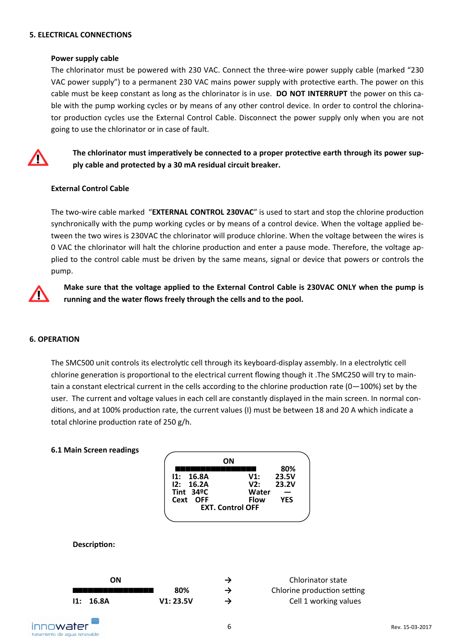## **5. ELECTRICAL CONNECTIONS**

#### **Power supply cable**

The chlorinator must be powered with 230 VAC. Connect the three‐wire power supply cable (marked "230 VAC power supply") to a permanent 230 VAC mains power supply with protective earth. The power on this cable must be keep constant as long as the chlorinator is in use. **DO NOT INTERRUPT** the power on this ca‐ ble with the pump working cycles or by means of any other control device. In order to control the chlorinator production cycles use the External Control Cable. Disconnect the power supply only when you are not going to use the chlorinator or in case of fault.



The chlorinator must imperatively be connected to a proper protective earth through its power sup**ply cable and protected by a 30 mA residual circuit breaker.** 

## **External Control Cable**

The two-wire cable marked "**EXTERNAL CONTROL 230VAC**" is used to start and stop the chlorine production synchronically with the pump working cycles or by means of a control device. When the voltage applied between the two wires is 230VAC the chlorinator will produce chlorine. When the voltage between the wires is 0 VAC the chlorinator will halt the chlorine production and enter a pause mode. Therefore, the voltage applied to the control cable must be driven by the same means, signal or device that powers or controls the pump.



**Make sure that the voltage applied to the External Control Cable is 230VAC ONLY when the pump is running and the water flows freely through the cells and to the pool.**

## **6. OPERATION**

The SMC500 unit controls its electrolytic cell through its keyboard-display assembly. In a electrolytic cell chlorine generation is proportional to the electrical current flowing though it .The SMC250 will try to maintain a constant electrical current in the cells according to the chlorine production rate  $(0-100\%)$  set by the user. The current and voltage values in each cell are constantly displayed in the main screen. In normal conditions, and at 100% production rate, the current values (I) must be between 18 and 20 A which indicate a total chlorine production rate of 250 g/h.

#### **6.1 Main Screen readings**

| OΝ                      |             |            |  |
|-------------------------|-------------|------------|--|
|                         |             | 80%        |  |
| 11: 16.8A               | V1:         | 23.5V      |  |
| 12: 16.2A               | V2:         | 23.2V      |  |
| Tint $34^{\circ}$ C     | Water       |            |  |
| Cext OFF                | <b>Flow</b> | <b>YES</b> |  |
| <b>EXT. Control OFF</b> |             |            |  |
|                         |             |            |  |

#### **DescripƟon:**

| ΟN                                                                                                             |           | Chlorinator state           |
|----------------------------------------------------------------------------------------------------------------|-----------|-----------------------------|
| an an Dùbhlachad an Dùbhlachad an Dùbhlachad an Dùbhlachad an Dùbhlachad an Dùbhlachad an Dùbhlachad an Dùbhla | 80%       | Chlorine production setting |
| 11: 16.8A                                                                                                      | V1: 23.5V | Cell 1 working values       |

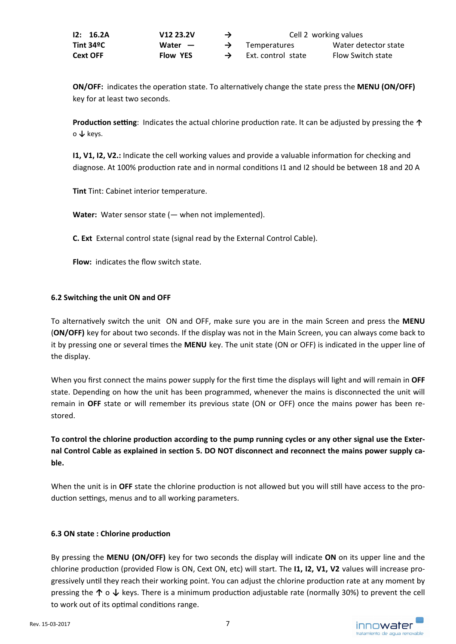| 12: 16.2A | V <sub>12</sub> 23.2V | → | Cell 2 working values |                      |  |
|-----------|-----------------------|---|-----------------------|----------------------|--|
| Tint 34ºC | Water $-$             |   | <b>Temperatures</b>   | Water detector state |  |
| Cext OFF  | <b>Flow YES</b>       |   | Ext. control state    | Flow Switch state    |  |

**ON/OFF:** indicates the operation state. To alternatively change the state press the **MENU (ON/OFF)** key for at least two seconds.

**Production setting**: Indicates the actual chlorine production rate. It can be adjusted by pressing the ↑ o **↓** keys.

**I1, V1, I2, V2.:** Indicate the cell working values and provide a valuable information for checking and diagnose. At 100% production rate and in normal conditions I1 and I2 should be between 18 and 20 A

**Tint** Tint: Cabinet interior temperature.

**Water:** Water sensor state (— when not implemented).

**C. Ext**  External control state (signal read by the External Control Cable).

**Flow:**  indicates the flow switch state.

# **6.2 Switching the unit ON and OFF**

To alternaƟvely switch the unit ON and OFF, make sure you are in the main Screen and press the **MENU**  (**ON/OFF)** key for about two seconds. If the display was not in the Main Screen, you can always come back to it by pressing one or several times the MENU key. The unit state (ON or OFF) is indicated in the upper line of the display.

When you first connect the mains power supply for the first time the displays will light and will remain in OFF state. Depending on how the unit has been programmed, whenever the mains is disconnected the unit will remain in OFF state or will remember its previous state (ON or OFF) once the mains power has been restored.

To control the chlorine production according to the pump running cycles or any other signal use the External Control Cable as explained in section 5. DO NOT disconnect and reconnect the mains power supply ca**ble.** 

When the unit is in OFF state the chlorine production is not allowed but you will still have access to the production settings, menus and to all working parameters.

## **6.3 ON state : Chlorine production**

By pressing the **MENU (ON/OFF)** key for two seconds the display will indicate **ON** on its upper line and the chlorine production (provided Flow is ON, Cext ON, etc) will start. The **I1, I2, V1, V2** values will increase progressively until they reach their working point. You can adjust the chlorine production rate at any moment by pressing the  $\uparrow$  o  $\downarrow$  keys. There is a minimum production adjustable rate (normally 30%) to prevent the cell to work out of its optimal conditions range.

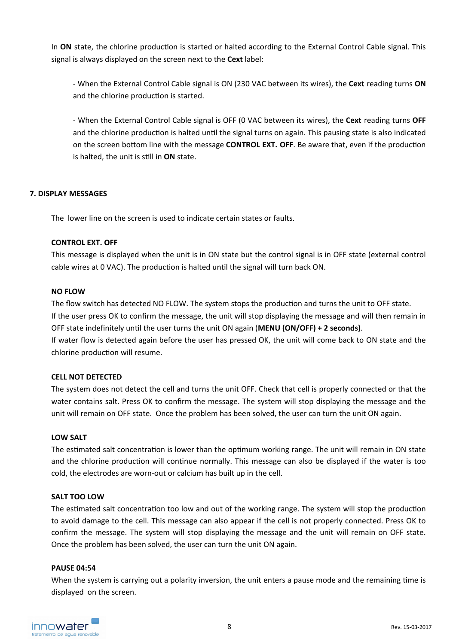In **ON** state, the chlorine production is started or halted according to the External Control Cable signal. This signal is always displayed on the screen next to the **Cext** label:

‐ When the External Control Cable signal is ON (230 VAC between its wires), the **Cext** reading turns **ON**  and the chlorine production is started.

‐ When the External Control Cable signal is OFF (0 VAC between its wires), the **Cext** reading turns **OFF**  and the chlorine production is halted until the signal turns on again. This pausing state is also indicated on the screen bottom line with the message **CONTROL EXT. OFF**. Be aware that, even if the production is halted, the unit is sƟll in **ON** state.

# **7. DISPLAY MESSAGES**

The lower line on the screen is used to indicate certain states or faults.

## **CONTROL EXT. OFF**

This message is displayed when the unit is in ON state but the control signal is in OFF state (external control cable wires at 0 VAC). The production is halted until the signal will turn back ON.

## **NO FLOW**

The flow switch has detected NO FLOW. The system stops the production and turns the unit to OFF state. If the user press OK to confirm the message, the unit will stop displaying the message and will then remain in OFF state indefinitely until the user turns the unit ON again (MENU (ON/OFF) + 2 seconds). If water flow is detected again before the user has pressed OK, the unit will come back to ON state and the chlorine production will resume.

## **CELL NOT DETECTED**

The system does not detect the cell and turns the unit OFF. Check that cell is properly connected or that the water contains salt. Press OK to confirm the message. The system will stop displaying the message and the unit will remain on OFF state. Once the problem has been solved, the user can turn the unit ON again.

## **LOW SALT**

The estimated salt concentration is lower than the optimum working range. The unit will remain in ON state and the chlorine production will continue normally. This message can also be displayed if the water is too cold, the electrodes are worn‐out or calcium has built up in the cell.

## **SALT TOO LOW**

The estimated salt concentration too low and out of the working range. The system will stop the production to avoid damage to the cell. This message can also appear if the cell is not properly connected. Press OK to confirm the message. The system will stop displaying the message and the unit will remain on OFF state. Once the problem has been solved, the user can turn the unit ON again.

## **PAUSE 04:54**

When the system is carrying out a polarity inversion, the unit enters a pause mode and the remaining time is displayed on the screen.

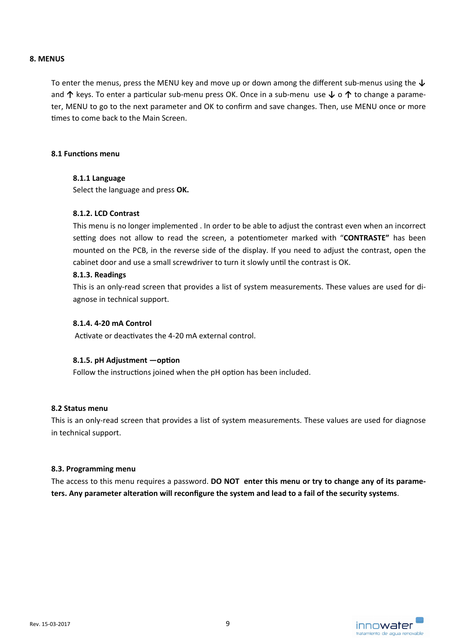## **8. MENUS**

To enter the menus, press the MENU key and move up or down among the different sub‐menus using the **↓** and ↑ keys. To enter a particular sub-menu press OK. Once in a sub-menu use  $\downarrow$  o ↑ to change a parameter, MENU to go to the next parameter and OK to confirm and save changes. Then, use MENU once or more times to come back to the Main Screen.

#### **8.1 FuncƟons menu**

## **8.1.1 Language**

Select the language and press **OK.** 

# **8.1.2. LCD Contrast**

This menu is no longer implemented . In order to be able to adjust the contrast even when an incorrect setting does not allow to read the screen, a potentiometer marked with "CONTRASTE" has been mounted on the PCB, in the reverse side of the display. If you need to adjust the contrast, open the cabinet door and use a small screwdriver to turn it slowly until the contrast is OK.

#### **8.1.3. Readings**

This is an only-read screen that provides a list of system measurements. These values are used for diagnose in technical support.

#### **8.1.4. 4‐20 mA Control**

Activate or deactivates the 4-20 mA external control.

## 8.1.5. pH Adjustment **-option**

Follow the instructions joined when the pH option has been included.

## **8.2 Status menu**

This is an only-read screen that provides a list of system measurements. These values are used for diagnose in technical support.

#### **8.3. Programming menu**

The access to this menu requires a password. **DO NOT enter this menu or try to change any of its parame‐ ters. Any parameter alteraƟon will reconfigure the system and lead to a fail of the security systems**.

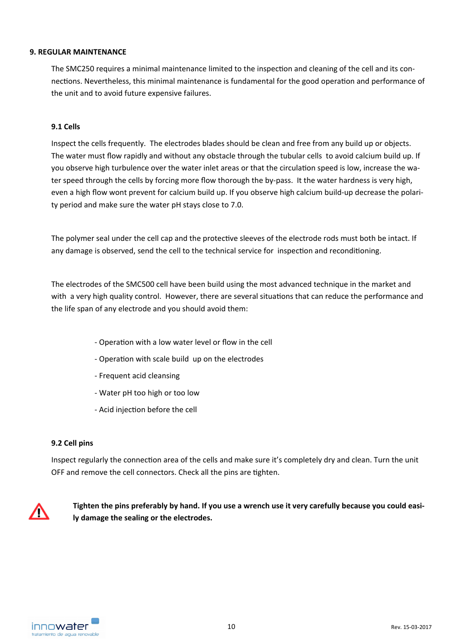## **9. REGULAR MAINTENANCE**

The SMC250 requires a minimal maintenance limited to the inspection and cleaning of the cell and its connections. Nevertheless, this minimal maintenance is fundamental for the good operation and performance of the unit and to avoid future expensive failures.

## **9.1 Cells**

Inspect the cells frequently. The electrodes blades should be clean and free from any build up or objects. The water must flow rapidly and without any obstacle through the tubular cells to avoid calcium build up. If you observe high turbulence over the water inlet areas or that the circulation speed is low, increase the water speed through the cells by forcing more flow thorough the by-pass. It the water hardness is very high, even a high flow wont prevent for calcium build up. If you observe high calcium build‐up decrease the polari‐ ty period and make sure the water pH stays close to 7.0.

The polymer seal under the cell cap and the protective sleeves of the electrode rods must both be intact. If any damage is observed, send the cell to the technical service for inspection and reconditioning.

The electrodes of the SMC500 cell have been build using the most advanced technique in the market and with a very high quality control. However, there are several situations that can reduce the performance and the life span of any electrode and you should avoid them:

- ‐ OperaƟon with a low water level or flow in the cell
- ‐ OperaƟon with scale build up on the electrodes
- ‐ Frequent acid cleansing
- ‐ Water pH too high or too low
- Acid injection before the cell

## **9.2 Cell pins**

Inspect regularly the connection area of the cells and make sure it's completely dry and clean. Turn the unit OFF and remove the cell connectors. Check all the pins are tighten.



**Tighten the pins preferably by hand. If you use a wrench use it very carefully because you could easi‐ ly damage the sealing or the electrodes.**